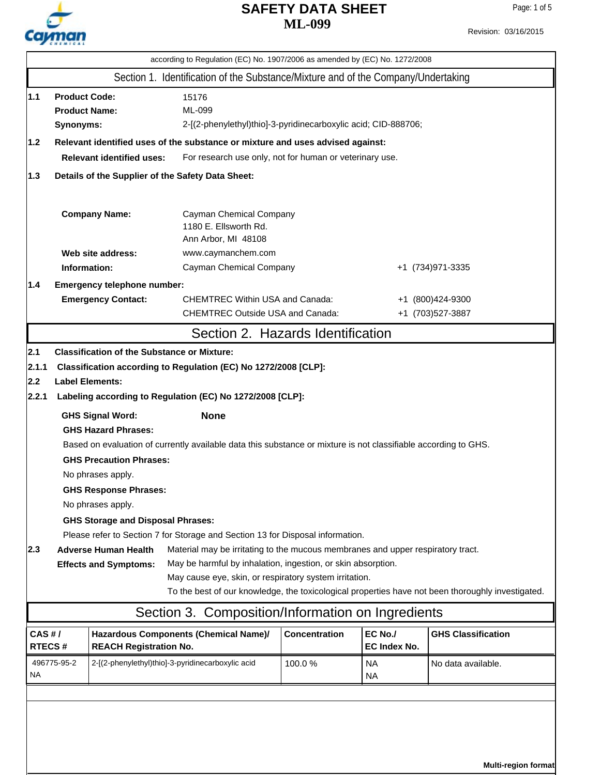

# **ML-099 SAFETY DATA SHEET**

**Multi-region format**

Revision: 03/16/2015

|                                           | according to Regulation (EC) No. 1907/2006 as amended by (EC) No. 1272/2008                 |                                                                                                                                                                                                                                                                                                        |                                                                                                                                                                                                                                                                                                                                                                                                                                                                                                                                                                                                                                                                                                                          |                      |                        |                                      |  |
|-------------------------------------------|---------------------------------------------------------------------------------------------|--------------------------------------------------------------------------------------------------------------------------------------------------------------------------------------------------------------------------------------------------------------------------------------------------------|--------------------------------------------------------------------------------------------------------------------------------------------------------------------------------------------------------------------------------------------------------------------------------------------------------------------------------------------------------------------------------------------------------------------------------------------------------------------------------------------------------------------------------------------------------------------------------------------------------------------------------------------------------------------------------------------------------------------------|----------------------|------------------------|--------------------------------------|--|
|                                           |                                                                                             |                                                                                                                                                                                                                                                                                                        | Section 1. Identification of the Substance/Mixture and of the Company/Undertaking                                                                                                                                                                                                                                                                                                                                                                                                                                                                                                                                                                                                                                        |                      |                        |                                      |  |
| 1.1 <br> 1.2                              | <b>Product Code:</b><br><b>Product Name:</b><br>Synonyms:                                   |                                                                                                                                                                                                                                                                                                        | 15176<br>ML-099<br>2-[(2-phenylethyl)thio]-3-pyridinecarboxylic acid; CID-888706;<br>Relevant identified uses of the substance or mixture and uses advised against:                                                                                                                                                                                                                                                                                                                                                                                                                                                                                                                                                      |                      |                        |                                      |  |
|                                           | <b>Relevant identified uses:</b><br>For research use only, not for human or veterinary use. |                                                                                                                                                                                                                                                                                                        |                                                                                                                                                                                                                                                                                                                                                                                                                                                                                                                                                                                                                                                                                                                          |                      |                        |                                      |  |
| 1.3                                       | Details of the Supplier of the Safety Data Sheet:                                           |                                                                                                                                                                                                                                                                                                        |                                                                                                                                                                                                                                                                                                                                                                                                                                                                                                                                                                                                                                                                                                                          |                      |                        |                                      |  |
|                                           |                                                                                             | <b>Company Name:</b>                                                                                                                                                                                                                                                                                   | Cayman Chemical Company<br>1180 E. Ellsworth Rd.<br>Ann Arbor, MI 48108                                                                                                                                                                                                                                                                                                                                                                                                                                                                                                                                                                                                                                                  |                      |                        |                                      |  |
|                                           |                                                                                             | Web site address:                                                                                                                                                                                                                                                                                      | www.caymanchem.com                                                                                                                                                                                                                                                                                                                                                                                                                                                                                                                                                                                                                                                                                                       |                      |                        |                                      |  |
|                                           |                                                                                             | Information:                                                                                                                                                                                                                                                                                           | Cayman Chemical Company                                                                                                                                                                                                                                                                                                                                                                                                                                                                                                                                                                                                                                                                                                  |                      |                        | +1 (734) 971-3335                    |  |
| 1.4                                       |                                                                                             | Emergency telephone number:<br><b>Emergency Contact:</b>                                                                                                                                                                                                                                               | <b>CHEMTREC Within USA and Canada:</b><br><b>CHEMTREC Outside USA and Canada:</b>                                                                                                                                                                                                                                                                                                                                                                                                                                                                                                                                                                                                                                        |                      |                        | +1 (800)424-9300<br>+1 (703)527-3887 |  |
|                                           |                                                                                             |                                                                                                                                                                                                                                                                                                        | Section 2. Hazards Identification                                                                                                                                                                                                                                                                                                                                                                                                                                                                                                                                                                                                                                                                                        |                      |                        |                                      |  |
| 2.1 <br> 2.1.1 <br> 2.2 <br> 2.2.1<br>2.3 |                                                                                             | <b>Label Elements:</b><br><b>GHS Signal Word:</b><br><b>GHS Hazard Phrases:</b><br><b>GHS Precaution Phrases:</b><br>No phrases apply.<br><b>GHS Response Phrases:</b><br>No phrases apply.<br><b>GHS Storage and Disposal Phrases:</b><br><b>Adverse Human Health</b><br><b>Effects and Symptoms:</b> | <b>Classification of the Substance or Mixture:</b><br>Classification according to Regulation (EC) No 1272/2008 [CLP]:<br>Labeling according to Regulation (EC) No 1272/2008 [CLP]:<br><b>None</b><br>Based on evaluation of currently available data this substance or mixture is not classifiable according to GHS.<br>Please refer to Section 7 for Storage and Section 13 for Disposal information.<br>Material may be irritating to the mucous membranes and upper respiratory tract.<br>May be harmful by inhalation, ingestion, or skin absorption.<br>May cause eye, skin, or respiratory system irritation.<br>To the best of our knowledge, the toxicological properties have not been thoroughly investigated. |                      |                        |                                      |  |
| CAS#/                                     |                                                                                             |                                                                                                                                                                                                                                                                                                        | Section 3. Composition/Information on Ingredients<br>Hazardous Components (Chemical Name)/                                                                                                                                                                                                                                                                                                                                                                                                                                                                                                                                                                                                                               | <b>Concentration</b> | EC No./                | <b>GHS Classification</b>            |  |
| RTECS#                                    |                                                                                             | <b>REACH Registration No.</b>                                                                                                                                                                                                                                                                          |                                                                                                                                                                                                                                                                                                                                                                                                                                                                                                                                                                                                                                                                                                                          |                      | <b>EC Index No.</b>    |                                      |  |
| NA                                        | 496775-95-2                                                                                 |                                                                                                                                                                                                                                                                                                        | 2-[(2-phenylethyl)thio]-3-pyridinecarboxylic acid                                                                                                                                                                                                                                                                                                                                                                                                                                                                                                                                                                                                                                                                        | 100.0%               | <b>NA</b><br><b>NA</b> | No data available.                   |  |
|                                           |                                                                                             |                                                                                                                                                                                                                                                                                                        |                                                                                                                                                                                                                                                                                                                                                                                                                                                                                                                                                                                                                                                                                                                          |                      |                        |                                      |  |
|                                           |                                                                                             |                                                                                                                                                                                                                                                                                                        |                                                                                                                                                                                                                                                                                                                                                                                                                                                                                                                                                                                                                                                                                                                          |                      |                        |                                      |  |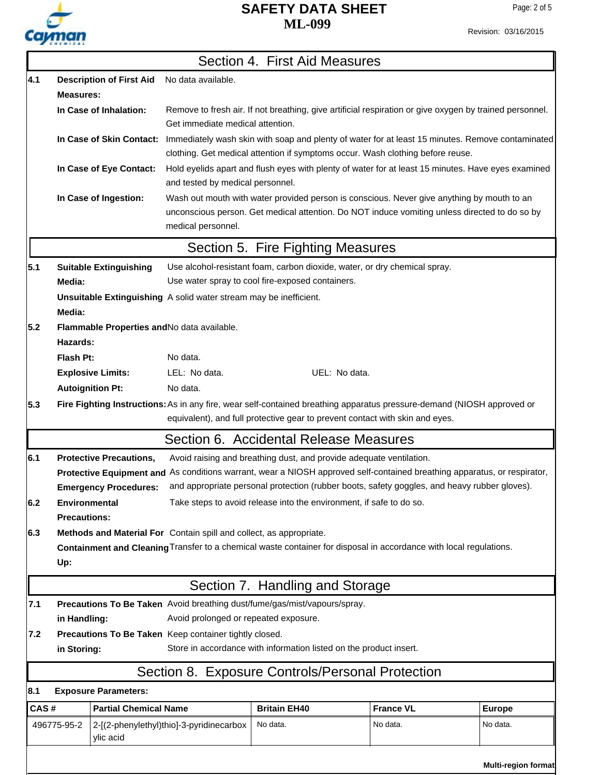

# **ML-099 SAFETY DATA SHEET**

|      |                      |                                 |                                                                           | Section 4. First Aid Measures     |                                                                                                                                                                                             |                     |
|------|----------------------|---------------------------------|---------------------------------------------------------------------------|-----------------------------------|---------------------------------------------------------------------------------------------------------------------------------------------------------------------------------------------|---------------------|
| 4.1  |                      | <b>Description of First Aid</b> | No data available.                                                        |                                   |                                                                                                                                                                                             |                     |
|      | <b>Measures:</b>     |                                 |                                                                           |                                   |                                                                                                                                                                                             |                     |
|      |                      | In Case of Inhalation:          | Get immediate medical attention.                                          |                                   | Remove to fresh air. If not breathing, give artificial respiration or give oxygen by trained personnel.                                                                                     |                     |
|      |                      | In Case of Skin Contact:        |                                                                           |                                   | Immediately wash skin with soap and plenty of water for at least 15 minutes. Remove contaminated<br>clothing. Get medical attention if symptoms occur. Wash clothing before reuse.          |                     |
|      |                      | In Case of Eye Contact:         | and tested by medical personnel.                                          |                                   | Hold eyelids apart and flush eyes with plenty of water for at least 15 minutes. Have eyes examined                                                                                          |                     |
|      |                      | In Case of Ingestion:           | medical personnel.                                                        |                                   | Wash out mouth with water provided person is conscious. Never give anything by mouth to an<br>unconscious person. Get medical attention. Do NOT induce vomiting unless directed to do so by |                     |
|      |                      |                                 |                                                                           | Section 5. Fire Fighting Measures |                                                                                                                                                                                             |                     |
| 5.1  |                      |                                 |                                                                           |                                   | Use alcohol-resistant foam, carbon dioxide, water, or dry chemical spray.                                                                                                                   |                     |
|      | Media:               | <b>Suitable Extinguishing</b>   | Use water spray to cool fire-exposed containers.                          |                                   |                                                                                                                                                                                             |                     |
|      |                      |                                 | Unsuitable Extinguishing A solid water stream may be inefficient.         |                                   |                                                                                                                                                                                             |                     |
|      | Media:               |                                 |                                                                           |                                   |                                                                                                                                                                                             |                     |
| 5.2  |                      |                                 | Flammable Properties and No data available.                               |                                   |                                                                                                                                                                                             |                     |
|      | Hazards:             |                                 |                                                                           |                                   |                                                                                                                                                                                             |                     |
|      | Flash Pt:            |                                 | No data.                                                                  |                                   |                                                                                                                                                                                             |                     |
|      |                      | <b>Explosive Limits:</b>        | LEL: No data.                                                             |                                   | UEL: No data.                                                                                                                                                                               |                     |
|      |                      | <b>Autoignition Pt:</b>         | No data.                                                                  |                                   |                                                                                                                                                                                             |                     |
| 5.3  |                      |                                 |                                                                           |                                   | Fire Fighting Instructions: As in any fire, wear self-contained breathing apparatus pressure-demand (NIOSH approved or                                                                      |                     |
|      |                      |                                 |                                                                           |                                   | equivalent), and full protective gear to prevent contact with skin and eyes.                                                                                                                |                     |
|      |                      |                                 | Section 6. Accidental Release Measures                                    |                                   |                                                                                                                                                                                             |                     |
| 6.1  |                      | <b>Protective Precautions,</b>  |                                                                           |                                   | Avoid raising and breathing dust, and provide adequate ventilation.                                                                                                                         |                     |
|      |                      |                                 |                                                                           |                                   | Protective Equipment and As conditions warrant, wear a NIOSH approved self-contained breathing apparatus, or respirator,                                                                    |                     |
|      |                      | <b>Emergency Procedures:</b>    |                                                                           |                                   | and appropriate personal protection (rubber boots, safety goggles, and heavy rubber gloves).                                                                                                |                     |
| 6.2  | <b>Environmental</b> |                                 |                                                                           |                                   | Take steps to avoid release into the environment, if safe to do so.                                                                                                                         |                     |
|      | <b>Precautions:</b>  |                                 |                                                                           |                                   |                                                                                                                                                                                             |                     |
| 6.3  |                      |                                 | Methods and Material For Contain spill and collect, as appropriate.       |                                   |                                                                                                                                                                                             |                     |
|      | Up:                  |                                 |                                                                           |                                   | Containment and Cleaning Transfer to a chemical waste container for disposal in accordance with local regulations.                                                                          |                     |
|      |                      |                                 |                                                                           | Section 7. Handling and Storage   |                                                                                                                                                                                             |                     |
| 7.1  |                      |                                 | Precautions To Be Taken Avoid breathing dust/fume/gas/mist/vapours/spray. |                                   |                                                                                                                                                                                             |                     |
|      | in Handling:         |                                 | Avoid prolonged or repeated exposure.                                     |                                   |                                                                                                                                                                                             |                     |
| 7.2  |                      |                                 | Precautions To Be Taken Keep container tightly closed.                    |                                   |                                                                                                                                                                                             |                     |
|      | in Storing:          |                                 |                                                                           |                                   | Store in accordance with information listed on the product insert.                                                                                                                          |                     |
|      |                      |                                 |                                                                           |                                   | Section 8. Exposure Controls/Personal Protection                                                                                                                                            |                     |
| 8.1  |                      | <b>Exposure Parameters:</b>     |                                                                           |                                   |                                                                                                                                                                                             |                     |
| CAS# |                      | <b>Partial Chemical Name</b>    |                                                                           | <b>Britain EH40</b>               | <b>France VL</b>                                                                                                                                                                            | <b>Europe</b>       |
|      |                      |                                 |                                                                           | No data.                          | No data.                                                                                                                                                                                    | No data.            |
|      | 496775-95-2          | ylic acid                       | 2-[(2-phenylethyl)thio]-3-pyridinecarbox                                  |                                   |                                                                                                                                                                                             |                     |
|      |                      |                                 |                                                                           |                                   |                                                                                                                                                                                             | Multi-region format |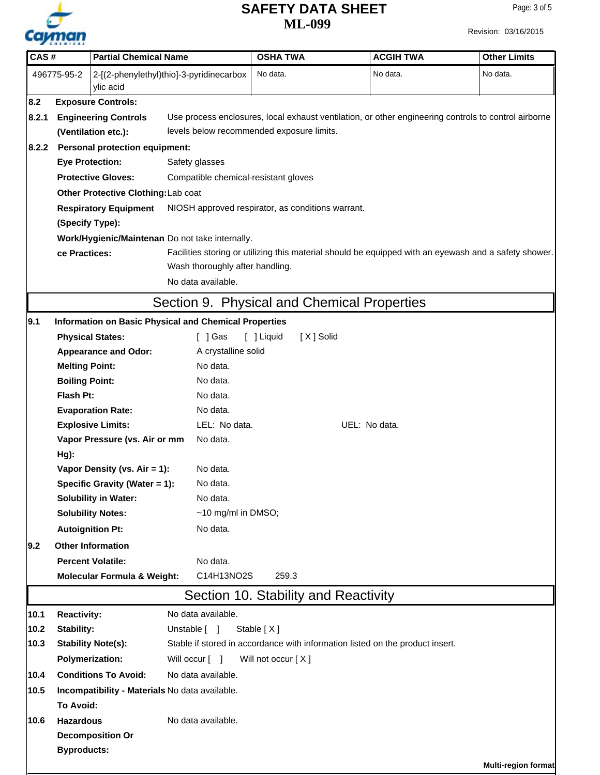

# **ML-099 SAFETY DATA SHEET**

| CAS#   |                       | <b>Partial Chemical Name</b>                              |                                                                                                       | <b>OSHA TWA</b>                             | <b>ACGIH TWA</b>                                                              | <b>Other Limits</b> |  |  |
|--------|-----------------------|-----------------------------------------------------------|-------------------------------------------------------------------------------------------------------|---------------------------------------------|-------------------------------------------------------------------------------|---------------------|--|--|
|        | 496775-95-2           | 2-[(2-phenylethyl)thio]-3-pyridinecarbox<br>ylic acid     |                                                                                                       | No data.                                    | No data.                                                                      | No data.            |  |  |
| 8.2    |                       | <b>Exposure Controls:</b>                                 |                                                                                                       |                                             |                                                                               |                     |  |  |
| 8.2.1  |                       | <b>Engineering Controls</b>                               | Use process enclosures, local exhaust ventilation, or other engineering controls to control airborne  |                                             |                                                                               |                     |  |  |
|        | (Ventilation etc.):   |                                                           |                                                                                                       | levels below recommended exposure limits.   |                                                                               |                     |  |  |
| 8.2.2  |                       | <b>Personal protection equipment:</b>                     |                                                                                                       |                                             |                                                                               |                     |  |  |
|        |                       | <b>Eye Protection:</b>                                    | Safety glasses                                                                                        |                                             |                                                                               |                     |  |  |
|        |                       | <b>Protective Gloves:</b>                                 | Compatible chemical-resistant gloves                                                                  |                                             |                                                                               |                     |  |  |
|        |                       | Other Protective Clothing: Lab coat                       |                                                                                                       |                                             |                                                                               |                     |  |  |
|        |                       | <b>Respiratory Equipment</b>                              | NIOSH approved respirator, as conditions warrant.                                                     |                                             |                                                                               |                     |  |  |
|        | (Specify Type):       |                                                           |                                                                                                       |                                             |                                                                               |                     |  |  |
|        |                       |                                                           | Work/Hygienic/Maintenan Do not take internally.                                                       |                                             |                                                                               |                     |  |  |
|        | ce Practices:         |                                                           | Facilities storing or utilizing this material should be equipped with an eyewash and a safety shower. |                                             |                                                                               |                     |  |  |
|        |                       |                                                           | Wash thoroughly after handling.                                                                       |                                             |                                                                               |                     |  |  |
|        |                       |                                                           | No data available.                                                                                    |                                             |                                                                               |                     |  |  |
|        |                       |                                                           |                                                                                                       | Section 9. Physical and Chemical Properties |                                                                               |                     |  |  |
| 9.1    |                       |                                                           | <b>Information on Basic Physical and Chemical Properties</b>                                          |                                             |                                                                               |                     |  |  |
|        |                       | <b>Physical States:</b>                                   | $\lceil$ $\rfloor$ Gas                                                                                | [ ] Liquid<br>[X] Solid                     |                                                                               |                     |  |  |
|        |                       | <b>Appearance and Odor:</b>                               | A crystalline solid                                                                                   |                                             |                                                                               |                     |  |  |
|        | <b>Melting Point:</b> |                                                           | No data.                                                                                              |                                             |                                                                               |                     |  |  |
|        | <b>Boiling Point:</b> |                                                           | No data.                                                                                              |                                             |                                                                               |                     |  |  |
|        | Flash Pt:             |                                                           | No data.                                                                                              |                                             |                                                                               |                     |  |  |
|        |                       | <b>Evaporation Rate:</b>                                  | No data.<br>LEL: No data.                                                                             |                                             |                                                                               |                     |  |  |
|        |                       | <b>Explosive Limits:</b><br>Vapor Pressure (vs. Air or mm | No data.                                                                                              |                                             | UEL: No data.                                                                 |                     |  |  |
|        | Hg):                  |                                                           |                                                                                                       |                                             |                                                                               |                     |  |  |
|        |                       | Vapor Density (vs. Air = 1):                              | No data.                                                                                              |                                             |                                                                               |                     |  |  |
|        |                       | Specific Gravity (Water = 1):                             | No data.                                                                                              |                                             |                                                                               |                     |  |  |
|        |                       | <b>Solubility in Water:</b>                               | No data.                                                                                              |                                             |                                                                               |                     |  |  |
|        |                       | <b>Solubility Notes:</b>                                  | $~10$ mg/ml in DMSO;                                                                                  |                                             |                                                                               |                     |  |  |
|        |                       | <b>Autoignition Pt:</b>                                   | No data.                                                                                              |                                             |                                                                               |                     |  |  |
| 9.2    |                       | <b>Other Information</b>                                  |                                                                                                       |                                             |                                                                               |                     |  |  |
|        |                       | <b>Percent Volatile:</b>                                  | No data.                                                                                              |                                             |                                                                               |                     |  |  |
|        |                       | <b>Molecular Formula &amp; Weight:</b>                    | C14H13NO2S                                                                                            | 259.3                                       |                                                                               |                     |  |  |
|        |                       |                                                           |                                                                                                       | Section 10. Stability and Reactivity        |                                                                               |                     |  |  |
| 10.1   | <b>Reactivity:</b>    |                                                           | No data available.                                                                                    |                                             |                                                                               |                     |  |  |
| $10.2$ | Stability:            |                                                           | Unstable [ ]                                                                                          | Stable $[X]$                                |                                                                               |                     |  |  |
| 10.3   |                       | <b>Stability Note(s):</b>                                 |                                                                                                       |                                             | Stable if stored in accordance with information listed on the product insert. |                     |  |  |
|        |                       | <b>Polymerization:</b>                                    | Will occur [ ]                                                                                        | Will not occur [X]                          |                                                                               |                     |  |  |
| 10.4   |                       | <b>Conditions To Avoid:</b>                               | No data available.                                                                                    |                                             |                                                                               |                     |  |  |
| 10.5   |                       |                                                           | Incompatibility - Materials No data available.                                                        |                                             |                                                                               |                     |  |  |
|        | <b>To Avoid:</b>      |                                                           |                                                                                                       |                                             |                                                                               |                     |  |  |
| 10.6   | <b>Hazardous</b>      |                                                           | No data available.                                                                                    |                                             |                                                                               |                     |  |  |
|        |                       | <b>Decomposition Or</b>                                   |                                                                                                       |                                             |                                                                               |                     |  |  |
|        | <b>Byproducts:</b>    |                                                           |                                                                                                       |                                             |                                                                               |                     |  |  |
|        |                       |                                                           |                                                                                                       |                                             |                                                                               | Multi-region format |  |  |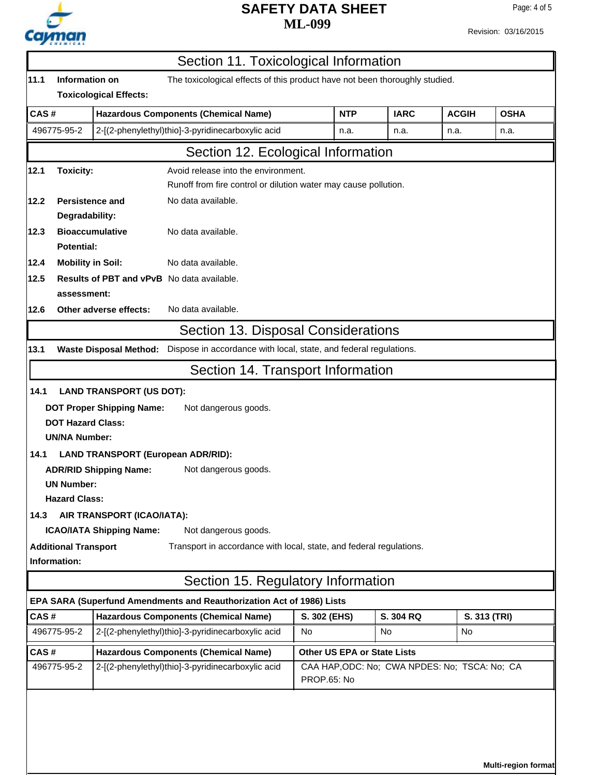

# **ML-099 SAFETY DATA SHEET**

'n

Revision: 03/16/2015

| 11.1<br>Information on<br>CAS#<br><b>Toxicity:</b><br><b>Persistence and</b><br>Degradability:<br><b>Potential:</b><br><b>Mobility in Soil:</b><br>assessment:<br><b>DOT Hazard Class:</b><br><b>UN/NA Number:</b><br><b>ADR/RID Shipping Name:</b><br><b>UN Number:</b><br><b>Hazard Class:</b> | The toxicological effects of this product have not been thoroughly studied.<br><b>Toxicological Effects:</b><br><b>Hazardous Components (Chemical Name)</b><br>2-[(2-phenylethyl)thio]-3-pyridinecarboxylic acid<br>Section 12. Ecological Information<br>Avoid release into the environment.<br>Runoff from fire control or dilution water may cause pollution.<br>No data available.<br><b>Bioaccumulative</b><br>No data available.<br>No data available.<br><b>Results of PBT and vPvB</b> No data available.<br>Other adverse effects:<br>No data available.<br>Section 13. Disposal Considerations<br>Waste Disposal Method: Dispose in accordance with local, state, and federal regulations.<br>Section 14. Transport Information<br><b>LAND TRANSPORT (US DOT):</b><br><b>DOT Proper Shipping Name:</b><br>Not dangerous goods.<br><b>LAND TRANSPORT (European ADR/RID):</b> | <b>NTP</b><br>n.a.                                           | <b>IARC</b><br>n.a. | <b>ACGIH</b><br>n.a. | <b>OSHA</b><br>n.a. |
|--------------------------------------------------------------------------------------------------------------------------------------------------------------------------------------------------------------------------------------------------------------------------------------------------|---------------------------------------------------------------------------------------------------------------------------------------------------------------------------------------------------------------------------------------------------------------------------------------------------------------------------------------------------------------------------------------------------------------------------------------------------------------------------------------------------------------------------------------------------------------------------------------------------------------------------------------------------------------------------------------------------------------------------------------------------------------------------------------------------------------------------------------------------------------------------------------|--------------------------------------------------------------|---------------------|----------------------|---------------------|
|                                                                                                                                                                                                                                                                                                  |                                                                                                                                                                                                                                                                                                                                                                                                                                                                                                                                                                                                                                                                                                                                                                                                                                                                                       |                                                              |                     |                      |                     |
| 496775-95-2                                                                                                                                                                                                                                                                                      |                                                                                                                                                                                                                                                                                                                                                                                                                                                                                                                                                                                                                                                                                                                                                                                                                                                                                       |                                                              |                     |                      |                     |
|                                                                                                                                                                                                                                                                                                  |                                                                                                                                                                                                                                                                                                                                                                                                                                                                                                                                                                                                                                                                                                                                                                                                                                                                                       |                                                              |                     |                      |                     |
| 12.1                                                                                                                                                                                                                                                                                             |                                                                                                                                                                                                                                                                                                                                                                                                                                                                                                                                                                                                                                                                                                                                                                                                                                                                                       |                                                              |                     |                      |                     |
|                                                                                                                                                                                                                                                                                                  |                                                                                                                                                                                                                                                                                                                                                                                                                                                                                                                                                                                                                                                                                                                                                                                                                                                                                       |                                                              |                     |                      |                     |
| 12.2<br>12.3<br>12.4<br>12.5<br>12.6<br>13.1<br>14.1<br>14.1<br>14.3                                                                                                                                                                                                                             |                                                                                                                                                                                                                                                                                                                                                                                                                                                                                                                                                                                                                                                                                                                                                                                                                                                                                       |                                                              |                     |                      |                     |
|                                                                                                                                                                                                                                                                                                  |                                                                                                                                                                                                                                                                                                                                                                                                                                                                                                                                                                                                                                                                                                                                                                                                                                                                                       |                                                              |                     |                      |                     |
|                                                                                                                                                                                                                                                                                                  |                                                                                                                                                                                                                                                                                                                                                                                                                                                                                                                                                                                                                                                                                                                                                                                                                                                                                       |                                                              |                     |                      |                     |
|                                                                                                                                                                                                                                                                                                  |                                                                                                                                                                                                                                                                                                                                                                                                                                                                                                                                                                                                                                                                                                                                                                                                                                                                                       |                                                              |                     |                      |                     |
|                                                                                                                                                                                                                                                                                                  |                                                                                                                                                                                                                                                                                                                                                                                                                                                                                                                                                                                                                                                                                                                                                                                                                                                                                       |                                                              |                     |                      |                     |
|                                                                                                                                                                                                                                                                                                  |                                                                                                                                                                                                                                                                                                                                                                                                                                                                                                                                                                                                                                                                                                                                                                                                                                                                                       |                                                              |                     |                      |                     |
|                                                                                                                                                                                                                                                                                                  |                                                                                                                                                                                                                                                                                                                                                                                                                                                                                                                                                                                                                                                                                                                                                                                                                                                                                       |                                                              |                     |                      |                     |
|                                                                                                                                                                                                                                                                                                  |                                                                                                                                                                                                                                                                                                                                                                                                                                                                                                                                                                                                                                                                                                                                                                                                                                                                                       |                                                              |                     |                      |                     |
|                                                                                                                                                                                                                                                                                                  |                                                                                                                                                                                                                                                                                                                                                                                                                                                                                                                                                                                                                                                                                                                                                                                                                                                                                       |                                                              |                     |                      |                     |
|                                                                                                                                                                                                                                                                                                  |                                                                                                                                                                                                                                                                                                                                                                                                                                                                                                                                                                                                                                                                                                                                                                                                                                                                                       |                                                              |                     |                      |                     |
|                                                                                                                                                                                                                                                                                                  |                                                                                                                                                                                                                                                                                                                                                                                                                                                                                                                                                                                                                                                                                                                                                                                                                                                                                       |                                                              |                     |                      |                     |
|                                                                                                                                                                                                                                                                                                  |                                                                                                                                                                                                                                                                                                                                                                                                                                                                                                                                                                                                                                                                                                                                                                                                                                                                                       |                                                              |                     |                      |                     |
|                                                                                                                                                                                                                                                                                                  |                                                                                                                                                                                                                                                                                                                                                                                                                                                                                                                                                                                                                                                                                                                                                                                                                                                                                       |                                                              |                     |                      |                     |
|                                                                                                                                                                                                                                                                                                  |                                                                                                                                                                                                                                                                                                                                                                                                                                                                                                                                                                                                                                                                                                                                                                                                                                                                                       |                                                              |                     |                      |                     |
|                                                                                                                                                                                                                                                                                                  |                                                                                                                                                                                                                                                                                                                                                                                                                                                                                                                                                                                                                                                                                                                                                                                                                                                                                       |                                                              |                     |                      |                     |
|                                                                                                                                                                                                                                                                                                  |                                                                                                                                                                                                                                                                                                                                                                                                                                                                                                                                                                                                                                                                                                                                                                                                                                                                                       |                                                              |                     |                      |                     |
|                                                                                                                                                                                                                                                                                                  |                                                                                                                                                                                                                                                                                                                                                                                                                                                                                                                                                                                                                                                                                                                                                                                                                                                                                       |                                                              |                     |                      |                     |
|                                                                                                                                                                                                                                                                                                  | Not dangerous goods.                                                                                                                                                                                                                                                                                                                                                                                                                                                                                                                                                                                                                                                                                                                                                                                                                                                                  |                                                              |                     |                      |                     |
|                                                                                                                                                                                                                                                                                                  |                                                                                                                                                                                                                                                                                                                                                                                                                                                                                                                                                                                                                                                                                                                                                                                                                                                                                       |                                                              |                     |                      |                     |
|                                                                                                                                                                                                                                                                                                  | AIR TRANSPORT (ICAO/IATA):                                                                                                                                                                                                                                                                                                                                                                                                                                                                                                                                                                                                                                                                                                                                                                                                                                                            |                                                              |                     |                      |                     |
|                                                                                                                                                                                                                                                                                                  | <b>ICAO/IATA Shipping Name:</b><br>Not dangerous goods.                                                                                                                                                                                                                                                                                                                                                                                                                                                                                                                                                                                                                                                                                                                                                                                                                               |                                                              |                     |                      |                     |
| <b>Additional Transport</b>                                                                                                                                                                                                                                                                      | Transport in accordance with local, state, and federal regulations.                                                                                                                                                                                                                                                                                                                                                                                                                                                                                                                                                                                                                                                                                                                                                                                                                   |                                                              |                     |                      |                     |
| Information:                                                                                                                                                                                                                                                                                     |                                                                                                                                                                                                                                                                                                                                                                                                                                                                                                                                                                                                                                                                                                                                                                                                                                                                                       |                                                              |                     |                      |                     |
|                                                                                                                                                                                                                                                                                                  | Section 15. Regulatory Information                                                                                                                                                                                                                                                                                                                                                                                                                                                                                                                                                                                                                                                                                                                                                                                                                                                    |                                                              |                     |                      |                     |
|                                                                                                                                                                                                                                                                                                  | EPA SARA (Superfund Amendments and Reauthorization Act of 1986) Lists                                                                                                                                                                                                                                                                                                                                                                                                                                                                                                                                                                                                                                                                                                                                                                                                                 |                                                              |                     |                      |                     |
| CAS#                                                                                                                                                                                                                                                                                             | <b>Hazardous Components (Chemical Name)</b>                                                                                                                                                                                                                                                                                                                                                                                                                                                                                                                                                                                                                                                                                                                                                                                                                                           | S. 302 (EHS)                                                 | S. 304 RQ           |                      | S. 313 (TRI)        |
| 496775-95-2                                                                                                                                                                                                                                                                                      | 2-[(2-phenylethyl)thio]-3-pyridinecarboxylic acid                                                                                                                                                                                                                                                                                                                                                                                                                                                                                                                                                                                                                                                                                                                                                                                                                                     | No                                                           | No                  | No.                  |                     |
| CAS#                                                                                                                                                                                                                                                                                             | <b>Hazardous Components (Chemical Name)</b>                                                                                                                                                                                                                                                                                                                                                                                                                                                                                                                                                                                                                                                                                                                                                                                                                                           | <b>Other US EPA or State Lists</b>                           |                     |                      |                     |
| 496775-95-2<br>2-[(2-phenylethyl)thio]-3-pyridinecarboxylic acid                                                                                                                                                                                                                                 |                                                                                                                                                                                                                                                                                                                                                                                                                                                                                                                                                                                                                                                                                                                                                                                                                                                                                       | CAA HAP, ODC: No; CWA NPDES: No; TSCA: No; CA<br>PROP.65: No |                     |                      |                     |